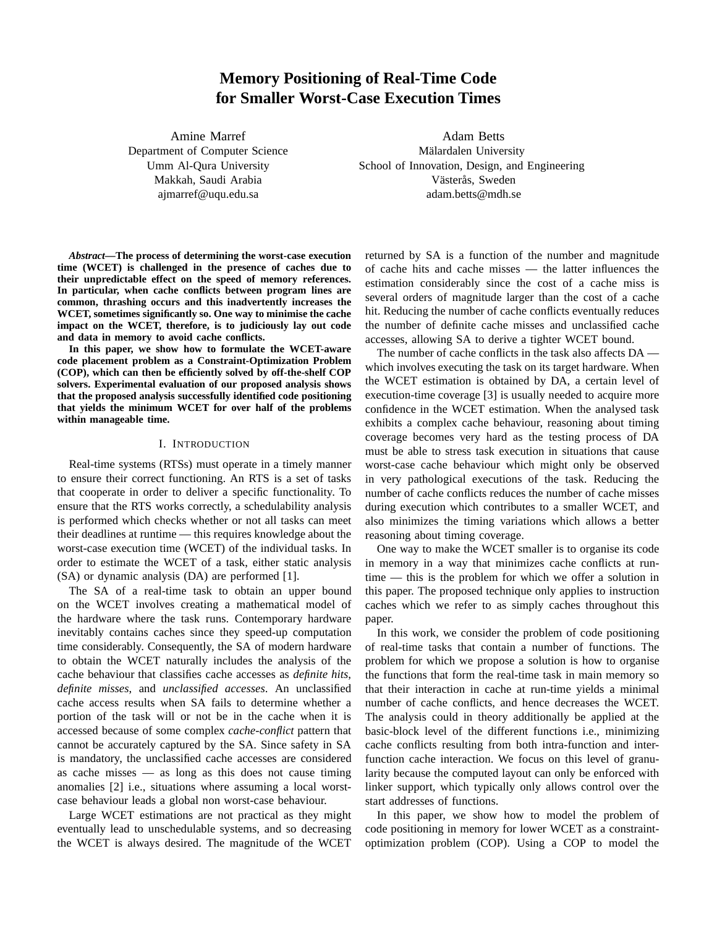# **Memory Positioning of Real-Time Code for Smaller Worst-Case Execution Times**

Amine Marref Department of Computer Science Umm Al-Qura University Makkah, Saudi Arabia ajmarref@uqu.edu.sa

Adam Betts Mälardalen University School of Innovation, Design, and Engineering Västerås, Sweden adam.betts@mdh.se

*Abstract***—The process of determining the worst-case execution time (WCET) is challenged in the presence of caches due to their unpredictable effect on the speed of memory references. In particular, when cache conflicts between program lines are common, thrashing occurs and this inadvertently increases the WCET, sometimes significantly so. One way to minimise the cache impact on the WCET, therefore, is to judiciously lay out code and data in memory to avoid cache conflicts.**

**In this paper, we show how to formulate the WCET-aware code placement problem as a Constraint-Optimization Problem (COP), which can then be efficiently solved by off-the-shelf COP solvers. Experimental evaluation of our proposed analysis shows that the proposed analysis successfully identified code positioning that yields the minimum WCET for over half of the problems within manageable time.**

#### I. INTRODUCTION

Real-time systems (RTSs) must operate in a timely manner to ensure their correct functioning. An RTS is a set of tasks that cooperate in order to deliver a specific functionality. To ensure that the RTS works correctly, a schedulability analysis is performed which checks whether or not all tasks can meet their deadlines at runtime — this requires knowledge about the worst-case execution time (WCET) of the individual tasks. In order to estimate the WCET of a task, either static analysis (SA) or dynamic analysis (DA) are performed [1].

The SA of a real-time task to obtain an upper bound on the WCET involves creating a mathematical model of the hardware where the task runs. Contemporary hardware inevitably contains caches since they speed-up computation time considerably. Consequently, the SA of modern hardware to obtain the WCET naturally includes the analysis of the cache behaviour that classifies cache accesses as *definite hits*, *definite misses*, and *unclassified accesses*. An unclassified cache access results when SA fails to determine whether a portion of the task will or not be in the cache when it is accessed because of some complex *cache-conflict* pattern that cannot be accurately captured by the SA. Since safety in SA is mandatory, the unclassified cache accesses are considered as cache misses — as long as this does not cause timing anomalies [2] i.e., situations where assuming a local worstcase behaviour leads a global non worst-case behaviour.

Large WCET estimations are not practical as they might eventually lead to unschedulable systems, and so decreasing the WCET is always desired. The magnitude of the WCET

returned by SA is a function of the number and magnitude of cache hits and cache misses — the latter influences the estimation considerably since the cost of a cache miss is several orders of magnitude larger than the cost of a cache hit. Reducing the number of cache conflicts eventually reduces the number of definite cache misses and unclassified cache accesses, allowing SA to derive a tighter WCET bound.

The number of cache conflicts in the task also affects DA which involves executing the task on its target hardware. When the WCET estimation is obtained by DA, a certain level of execution-time coverage [3] is usually needed to acquire more confidence in the WCET estimation. When the analysed task exhibits a complex cache behaviour, reasoning about timing coverage becomes very hard as the testing process of DA must be able to stress task execution in situations that cause worst-case cache behaviour which might only be observed in very pathological executions of the task. Reducing the number of cache conflicts reduces the number of cache misses during execution which contributes to a smaller WCET, and also minimizes the timing variations which allows a better reasoning about timing coverage.

One way to make the WCET smaller is to organise its code in memory in a way that minimizes cache conflicts at runtime — this is the problem for which we offer a solution in this paper. The proposed technique only applies to instruction caches which we refer to as simply caches throughout this paper.

In this work, we consider the problem of code positioning of real-time tasks that contain a number of functions. The problem for which we propose a solution is how to organise the functions that form the real-time task in main memory so that their interaction in cache at run-time yields a minimal number of cache conflicts, and hence decreases the WCET. The analysis could in theory additionally be applied at the basic-block level of the different functions i.e., minimizing cache conflicts resulting from both intra-function and interfunction cache interaction. We focus on this level of granularity because the computed layout can only be enforced with linker support, which typically only allows control over the start addresses of functions.

In this paper, we show how to model the problem of code positioning in memory for lower WCET as a constraintoptimization problem (COP). Using a COP to model the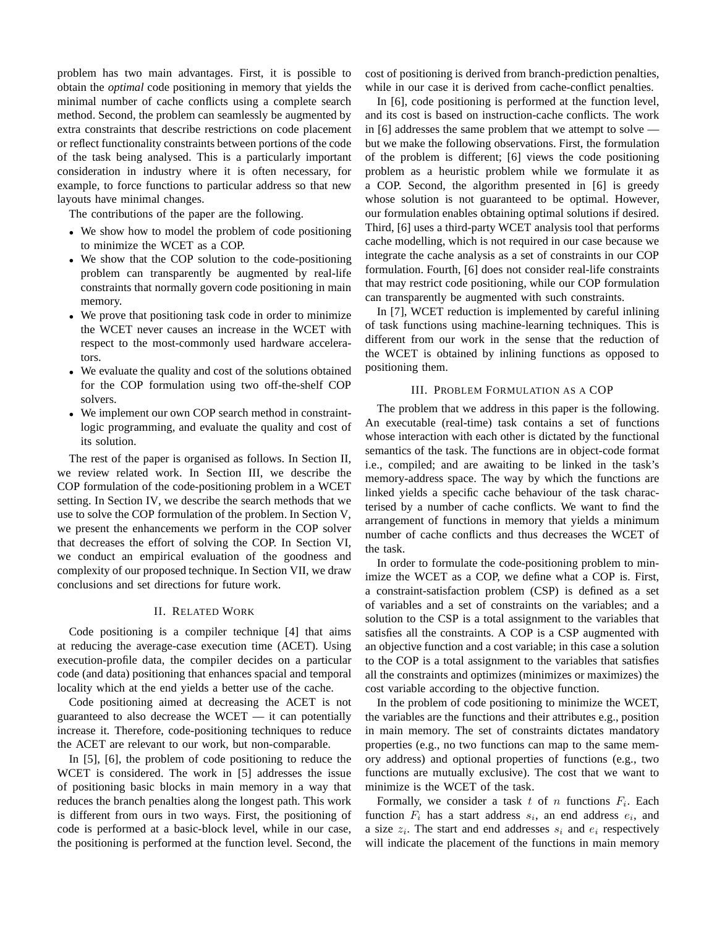problem has two main advantages. First, it is possible to obtain the *optimal* code positioning in memory that yields the minimal number of cache conflicts using a complete search method. Second, the problem can seamlessly be augmented by extra constraints that describe restrictions on code placement or reflect functionality constraints between portions of the code of the task being analysed. This is a particularly important consideration in industry where it is often necessary, for example, to force functions to particular address so that new layouts have minimal changes.

The contributions of the paper are the following.

- We show how to model the problem of code positioning to minimize the WCET as a COP.
- We show that the COP solution to the code-positioning problem can transparently be augmented by real-life constraints that normally govern code positioning in main memory.
- We prove that positioning task code in order to minimize the WCET never causes an increase in the WCET with respect to the most-commonly used hardware accelerators.
- We evaluate the quality and cost of the solutions obtained for the COP formulation using two off-the-shelf COP solvers.
- We implement our own COP search method in constraintlogic programming, and evaluate the quality and cost of its solution.

The rest of the paper is organised as follows. In Section II, we review related work. In Section III, we describe the COP formulation of the code-positioning problem in a WCET setting. In Section IV, we describe the search methods that we use to solve the COP formulation of the problem. In Section V, we present the enhancements we perform in the COP solver that decreases the effort of solving the COP. In Section VI, we conduct an empirical evaluation of the goodness and complexity of our proposed technique. In Section VII, we draw conclusions and set directions for future work.

### II. RELATED WORK

Code positioning is a compiler technique [4] that aims at reducing the average-case execution time (ACET). Using execution-profile data, the compiler decides on a particular code (and data) positioning that enhances spacial and temporal locality which at the end yields a better use of the cache.

Code positioning aimed at decreasing the ACET is not guaranteed to also decrease the WCET — it can potentially increase it. Therefore, code-positioning techniques to reduce the ACET are relevant to our work, but non-comparable.

In [5], [6], the problem of code positioning to reduce the WCET is considered. The work in [5] addresses the issue of positioning basic blocks in main memory in a way that reduces the branch penalties along the longest path. This work is different from ours in two ways. First, the positioning of code is performed at a basic-block level, while in our case, the positioning is performed at the function level. Second, the

cost of positioning is derived from branch-prediction penalties, while in our case it is derived from cache-conflict penalties.

In [6], code positioning is performed at the function level, and its cost is based on instruction-cache conflicts. The work in [6] addresses the same problem that we attempt to solve but we make the following observations. First, the formulation of the problem is different; [6] views the code positioning problem as a heuristic problem while we formulate it as a COP. Second, the algorithm presented in [6] is greedy whose solution is not guaranteed to be optimal. However, our formulation enables obtaining optimal solutions if desired. Third, [6] uses a third-party WCET analysis tool that performs cache modelling, which is not required in our case because we integrate the cache analysis as a set of constraints in our COP formulation. Fourth, [6] does not consider real-life constraints that may restrict code positioning, while our COP formulation can transparently be augmented with such constraints.

In [7], WCET reduction is implemented by careful inlining of task functions using machine-learning techniques. This is different from our work in the sense that the reduction of the WCET is obtained by inlining functions as opposed to positioning them.

## III. PROBLEM FORMULATION AS A COP

The problem that we address in this paper is the following. An executable (real-time) task contains a set of functions whose interaction with each other is dictated by the functional semantics of the task. The functions are in object-code format i.e., compiled; and are awaiting to be linked in the task's memory-address space. The way by which the functions are linked yields a specific cache behaviour of the task characterised by a number of cache conflicts. We want to find the arrangement of functions in memory that yields a minimum number of cache conflicts and thus decreases the WCET of the task.

In order to formulate the code-positioning problem to minimize the WCET as a COP, we define what a COP is. First, a constraint-satisfaction problem (CSP) is defined as a set of variables and a set of constraints on the variables; and a solution to the CSP is a total assignment to the variables that satisfies all the constraints. A COP is a CSP augmented with an objective function and a cost variable; in this case a solution to the COP is a total assignment to the variables that satisfies all the constraints and optimizes (minimizes or maximizes) the cost variable according to the objective function.

In the problem of code positioning to minimize the WCET, the variables are the functions and their attributes e.g., position in main memory. The set of constraints dictates mandatory properties (e.g., no two functions can map to the same memory address) and optional properties of functions (e.g., two functions are mutually exclusive). The cost that we want to minimize is the WCET of the task.

Formally, we consider a task  $t$  of  $n$  functions  $F_i$ . Each function  $F_i$  has a start address  $s_i$ , an end address  $e_i$ , and a size  $z_i$ . The start and end addresses  $s_i$  and  $e_i$  respectively will indicate the placement of the functions in main memory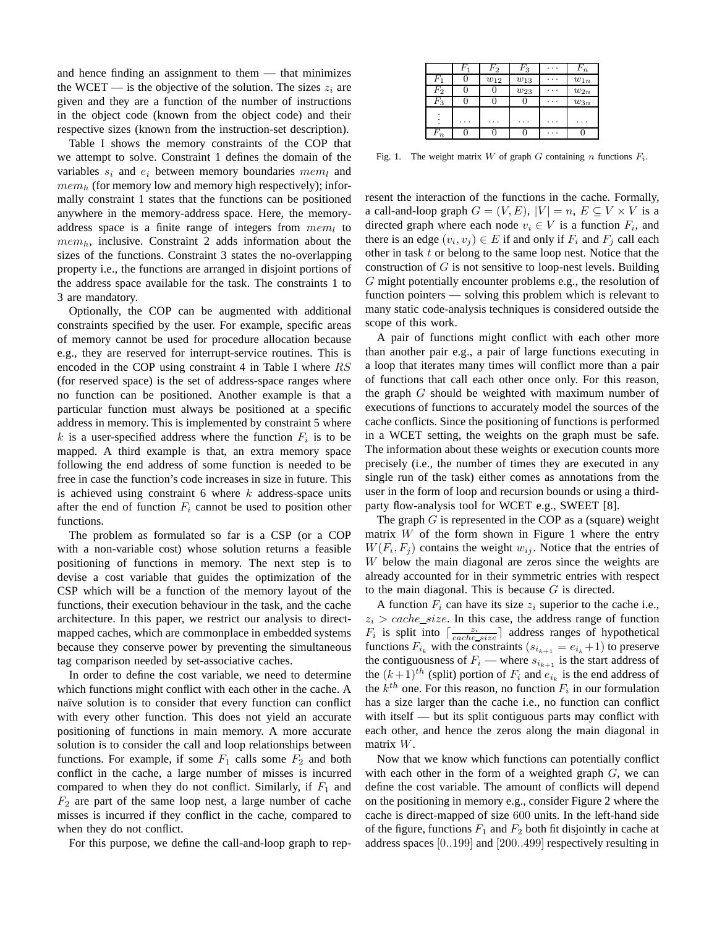and hence finding an assignment to them — that minimizes the WCET — is the objective of the solution. The sizes  $z_i$  are given and they are a function of the number of instructions in the object code (known from the object code) and their respective sizes (known from the instruction-set description).

Table I shows the memory constraints of the COP that we attempt to solve. Constraint 1 defines the domain of the variables  $s_i$  and  $e_i$  between memory boundaries mem<sub>l</sub> and  $mem<sub>h</sub>$  (for memory low and memory high respectively); informally constraint 1 states that the functions can be positioned anywhere in the memory-address space. Here, the memoryaddress space is a finite range of integers from  $mem_l$  to  $mem<sub>h</sub>$ , inclusive. Constraint 2 adds information about the sizes of the functions. Constraint 3 states the no-overlapping property i.e., the functions are arranged in disjoint portions of the address space available for the task. The constraints 1 to 3 are mandatory.

Optionally, the COP can be augmented with additional constraints specified by the user. For example, specific areas of memory cannot be used for procedure allocation because e.g., they are reserved for interrupt-service routines. This is encoded in the COP using constraint 4 in Table I where  $RS$ (for reserved space) is the set of address-space ranges where no function can be positioned. Another example is that a particular function must always be positioned at a specific address in memory. This is implemented by constraint 5 where k is a user-specified address where the function  $F_i$  is to be mapped. A third example is that, an extra memory space following the end address of some function is needed to be free in case the function's code increases in size in future. This is achieved using constraint 6 where  $k$  address-space units after the end of function  $F_i$  cannot be used to position other functions.

The problem as formulated so far is a CSP (or a COP with a non-variable cost) whose solution returns a feasible positioning of functions in memory. The next step is to devise a cost variable that guides the optimization of the CSP which will be a function of the memory layout of the functions, their execution behaviour in the task, and the cache architecture. In this paper, we restrict our analysis to directmapped caches, which are commonplace in embedded systems because they conserve power by preventing the simultaneous tag comparison needed by set-associative caches.

In order to define the cost variable, we need to determine which functions might conflict with each other in the cache. A naïve solution is to consider that every function can conflict with every other function. This does not yield an accurate positioning of functions in main memory. A more accurate solution is to consider the call and loop relationships between functions. For example, if some  $F_1$  calls some  $F_2$  and both conflict in the cache, a large number of misses is incurred compared to when they do not conflict. Similarly, if  $F_1$  and  $F_2$  are part of the same loop nest, a large number of cache misses is incurred if they conflict in the cache, compared to when they do not conflict.

For this purpose, we define the call-and-loop graph to rep-

|                    | $_{F_1}$ | $F_2$    | $\mathbb{F}_3$ | $\cdots$  | $F_n$    |
|--------------------|----------|----------|----------------|-----------|----------|
| $_{F_{\rm 1}}$     |          | $w_{12}$ | $w_{13}$       |           | $w_{1n}$ |
| $\scriptstyle F_2$ |          |          | $w_{23}$       | . .       | $w_{2n}$ |
| $\scriptstyle F_3$ |          |          |                | $\cdot$ . | $w_{3n}$ |
|                    |          |          |                |           |          |
|                    |          |          |                |           |          |
| $F_n$              |          |          |                | .         |          |

Fig. 1. The weight matrix W of graph G containing n functions  $F_i$ .

resent the interaction of the functions in the cache. Formally, a call-and-loop graph  $G = (V, E)$ ,  $|V| = n$ ,  $E \subseteq V \times V$  is a directed graph where each node  $v_i \in V$  is a function  $F_i$ , and there is an edge  $(v_i, v_j) \in E$  if and only if  $F_i$  and  $F_j$  call each other in task  $t$  or belong to the same loop nest. Notice that the construction of  $G$  is not sensitive to loop-nest levels. Building G might potentially encounter problems e.g., the resolution of function pointers — solving this problem which is relevant to many static code-analysis techniques is considered outside the scope of this work.

A pair of functions might conflict with each other more than another pair e.g., a pair of large functions executing in a loop that iterates many times will conflict more than a pair of functions that call each other once only. For this reason, the graph G should be weighted with maximum number of executions of functions to accurately model the sources of the cache conflicts. Since the positioning of functions is performed in a WCET setting, the weights on the graph must be safe. The information about these weights or execution counts more precisely (i.e., the number of times they are executed in any single run of the task) either comes as annotations from the user in the form of loop and recursion bounds or using a thirdparty flow-analysis tool for WCET e.g., SWEET [8].

The graph  $G$  is represented in the COP as a (square) weight matrix  $W$  of the form shown in Figure 1 where the entry  $W(F_i, F_j)$  contains the weight  $w_{ij}$ . Notice that the entries of W below the main diagonal are zeros since the weights are already accounted for in their symmetric entries with respect to the main diagonal. This is because  $G$  is directed.

A function  $F_i$  can have its size  $z_i$  superior to the cache i.e.,  $z_i > cache\_size$ . In this case, the address range of function  $F_i$  is split into  $\lceil \frac{z_i}{cache\_size} \rceil$  address ranges of hypothetical functions  $F_{i_k}$  with the constraints  $(s_{i_{k+1}} = e_{i_k} + 1)$  to preserve the contiguousness of  $F_i$  — where  $s_{i_{k+1}}$  is the start address of the  $(k+1)^{th}$  (split) portion of  $F_i$  and  $e_{i_k}$  is the end address of the  $k^{th}$  one. For this reason, no function  $F_i$  in our formulation has a size larger than the cache i.e., no function can conflict with itself — but its split contiguous parts may conflict with each other, and hence the zeros along the main diagonal in matrix W.

Now that we know which functions can potentially conflict with each other in the form of a weighted graph  $G$ , we can define the cost variable. The amount of conflicts will depend on the positioning in memory e.g., consider Figure 2 where the cache is direct-mapped of size 600 units. In the left-hand side of the figure, functions  $F_1$  and  $F_2$  both fit disjointly in cache at address spaces [0..199] and [200..499] respectively resulting in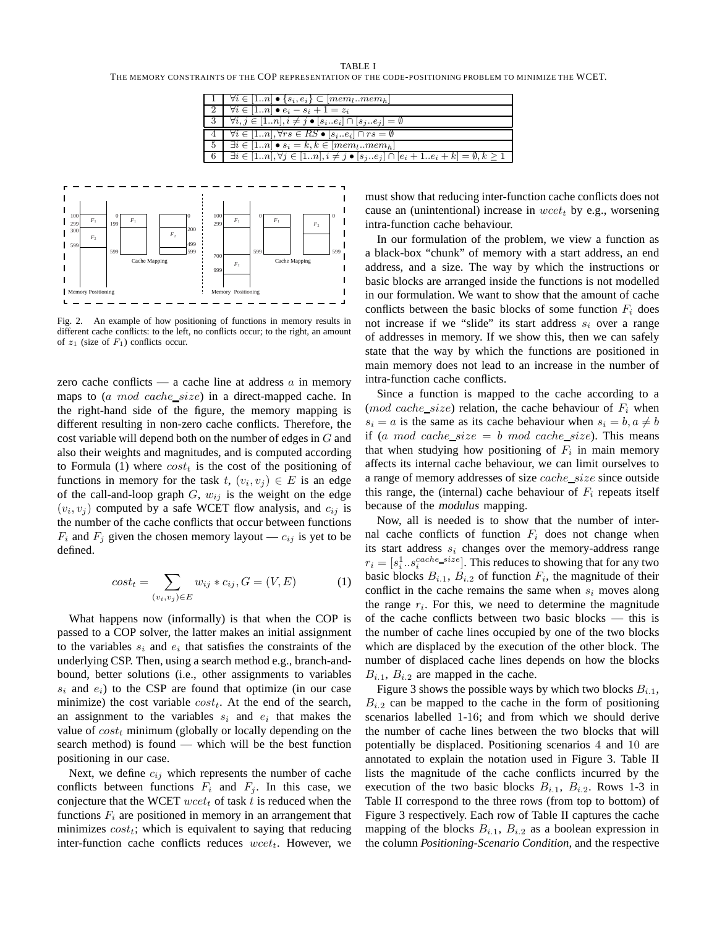#### TABLE I

THE MEMORY CONSTRAINTS OF THE COP REPRESENTATION OF THE CODE-POSITIONING PROBLEM TO MINIMIZE THE WCET.

| $\vert 1 \vert \forall i \in [1n] \bullet \{s_i, e_i\} \subset \vert mem_1mem_h \vert$                                                                                           |
|----------------------------------------------------------------------------------------------------------------------------------------------------------------------------------|
| 2 $\forall i \in [1n] \bullet e_i - s_i + 1 = z_i$                                                                                                                               |
| $\exists \forall i, j \in [1n], i \neq j \bullet [s_ie_i] \cap [s_je_j] = \emptyset$                                                                                             |
|                                                                                                                                                                                  |
| $\forall i \in [1n], \forall rs \in RS \bullet [s_ie_i] \cap rs = \emptyset$                                                                                                     |
| $5 \mid \exists i \in [1n] \bullet s_i = k, k \in [mem_lmem_h]$<br>6 $\exists i \in [1n], \forall j \in [1n], i \neq j \bullet [s_je_j] \cap [e_i+1e_i+k] = \emptyset, k \geq 1$ |



Fig. 2. An example of how positioning of functions in memory results in different cache conflicts: to the left, no conflicts occur; to the right, an amount of  $z_1$  (size of  $F_1$ ) conflicts occur.

zero cache conflicts — a cache line at address  $\alpha$  in memory maps to  $(a \mod cache\_size)$  in a direct-mapped cache. In the right-hand side of the figure, the memory mapping is different resulting in non-zero cache conflicts. Therefore, the cost variable will depend both on the number of edges in G and also their weights and magnitudes, and is computed according to Formula (1) where  $cost_t$  is the cost of the positioning of functions in memory for the task  $t, (v_i, v_j) \in E$  is an edge of the call-and-loop graph  $G$ ,  $w_{ij}$  is the weight on the edge  $(v_i, v_j)$  computed by a safe WCET flow analysis, and  $c_{ij}$  is the number of the cache conflicts that occur between functions  $F_i$  and  $F_j$  given the chosen memory layout —  $c_{ij}$  is yet to be defined.

$$
cost_t = \sum_{(v_i, v_j) \in E} w_{ij} * c_{ij}, G = (V, E)
$$
 (1)

What happens now (informally) is that when the COP is passed to a COP solver, the latter makes an initial assignment to the variables  $s_i$  and  $e_i$  that satisfies the constraints of the underlying CSP. Then, using a search method e.g., branch-andbound, better solutions (i.e., other assignments to variables  $s_i$  and  $e_i$ ) to the CSP are found that optimize (in our case minimize) the cost variable  $cost_t$ . At the end of the search, an assignment to the variables  $s_i$  and  $e_i$  that makes the value of  $cost_t$  minimum (globally or locally depending on the search method) is found — which will be the best function positioning in our case.

Next, we define  $c_{ij}$  which represents the number of cache conflicts between functions  $F_i$  and  $F_j$ . In this case, we conjecture that the WCET  $wcet_t$  of task t is reduced when the functions  $F_i$  are positioned in memory in an arrangement that minimizes  $cost_t$ ; which is equivalent to saying that reducing inter-function cache conflicts reduces  $wcet_t$ . However, we

must show that reducing inter-function cache conflicts does not cause an (unintentional) increase in  $wcet_t$  by e.g., worsening intra-function cache behaviour.

In our formulation of the problem, we view a function as a black-box "chunk" of memory with a start address, an end address, and a size. The way by which the instructions or basic blocks are arranged inside the functions is not modelled in our formulation. We want to show that the amount of cache conflicts between the basic blocks of some function  $F_i$  does not increase if we "slide" its start address  $s_i$  over a range of addresses in memory. If we show this, then we can safely state that the way by which the functions are positioned in main memory does not lead to an increase in the number of intra-function cache conflicts.

Since a function is mapped to the cache according to a (mod cache size) relation, the cache behaviour of  $F_i$  when  $s_i = a$  is the same as its cache behaviour when  $s_i = b, a \neq b$ if (a mod cache\_size = b mod cache\_size). This means that when studying how positioning of  $F_i$  in main memory affects its internal cache behaviour, we can limit ourselves to a range of memory addresses of size *cache\_size* since outside this range, the (internal) cache behaviour of  $F_i$  repeats itself because of the modulus mapping.

Now, all is needed is to show that the number of internal cache conflicts of function  $F_i$  does not change when its start address  $s_i$  changes over the memory-address range  $r_i = [s_i^1..s_i^{cache\_size}]$ . This reduces to showing that for any two basic blocks  $B_{i,1}$ ,  $B_{i,2}$  of function  $F_i$ , the magnitude of their conflict in the cache remains the same when  $s_i$  moves along the range  $r_i$ . For this, we need to determine the magnitude of the cache conflicts between two basic blocks — this is the number of cache lines occupied by one of the two blocks which are displaced by the execution of the other block. The number of displaced cache lines depends on how the blocks  $B_{i,1}$ ,  $B_{i,2}$  are mapped in the cache.

Figure 3 shows the possible ways by which two blocks  $B_{i,1}$ ,  $B_{i,2}$  can be mapped to the cache in the form of positioning scenarios labelled 1-16; and from which we should derive the number of cache lines between the two blocks that will potentially be displaced. Positioning scenarios 4 and 10 are annotated to explain the notation used in Figure 3. Table II lists the magnitude of the cache conflicts incurred by the execution of the two basic blocks  $B_{i,1}$ ,  $B_{i,2}$ . Rows 1-3 in Table II correspond to the three rows (from top to bottom) of Figure 3 respectively. Each row of Table II captures the cache mapping of the blocks  $B_{i,1}$ ,  $B_{i,2}$  as a boolean expression in the column *Positioning-Scenario Condition*, and the respective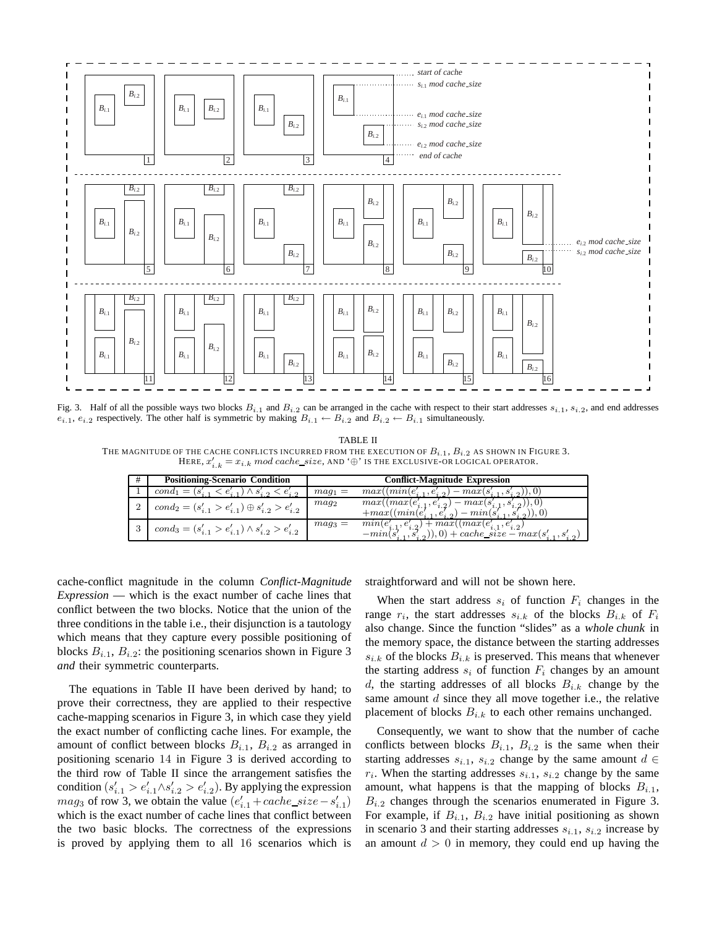

Fig. 3. Half of all the possible ways two blocks  $B_{i,1}$  and  $B_{i,2}$  can be arranged in the cache with respect to their start addresses  $s_{i,1}$ ,  $s_{i,2}$ , and end addresses  $e_{i,1}$ ,  $e_{i,2}$  respectively. The other half is symmetric by making  $B_{i,1} \leftarrow B_{i,2}$  and  $B_{i,2} \leftarrow B_{i,1}$  simultaneously.

TABLE II THE MAGNITUDE OF THE CACHE CONFLICTS INCURRED FROM THE EXECUTION OF  $B_{i,1}$ ,  $B_{i,2}$  as shown in Figure 3. HERE,  $x'_{i,k} = x_{i,k} \mod \text{cache\_size}$ , AND '⊕' IS THE EXCLUSIVE-OR LOGICAL OPERATOR.

| # | <b>Positioning-Scenario Condition</b>                       |                  | <b>Conflict-Magnitude Expression</b>                                                                                                                           |
|---|-------------------------------------------------------------|------------------|----------------------------------------------------------------------------------------------------------------------------------------------------------------|
|   | $cond_1 = (s_{i-1}'$                                        | $maq_1 =$        | $max((min(e_{i-1}', e_{i-2}') - max(s_{i-1}', s_{i-2}')), 0)$                                                                                                  |
|   | $cond_2 = (s'_{i,1} > e'_{i,1}) \oplus s'_{i,2} > e'_{i,2}$ | mag <sub>2</sub> | $max((max(e'_{i,1},e'_{i,2})-max(s'_{i,1},s'_{i,2})),0)$<br>$+ max((min(e_{i,1}', e_{i,2}') - min(s_{i,1}', s_{i,2}')), 0)$                                    |
|   | $cond_3 = (s'_{i,1} > e'_{i,1}) \wedge s'_{i,2} > e'_{i,2}$ | $mag_3 =$        | $\begin{array}{l} min(e'_{i,1}, e'_{i,2}) + max((max(e'_{i,1}, e'_{i,2}) \\ -min(s'_{i,1}, s'_{i,2})), 0) + cache\_size - max(s'_{i,1}, s'_{i,2}) \end{array}$ |

cache-conflict magnitude in the column *Conflict-Magnitude Expression* — which is the exact number of cache lines that conflict between the two blocks. Notice that the union of the three conditions in the table i.e., their disjunction is a tautology which means that they capture every possible positioning of blocks  $B_{i,1}$ ,  $B_{i,2}$ : the positioning scenarios shown in Figure 3 *and* their symmetric counterparts.

The equations in Table II have been derived by hand; to prove their correctness, they are applied to their respective cache-mapping scenarios in Figure 3, in which case they yield the exact number of conflicting cache lines. For example, the amount of conflict between blocks  $B_{i,1}$ ,  $B_{i,2}$  as arranged in positioning scenario 14 in Figure 3 is derived according to the third row of Table II since the arrangement satisfies the condition  $(s'_{i,1} > e'_{i,1} \land s'_{i,2} > e'_{i,2})$ . By applying the expression mag<sub>3</sub> of row 3, we obtain the value  $(e'_{i,1} + cache\_size - s'_{i,1})$ which is the exact number of cache lines that conflict between the two basic blocks. The correctness of the expressions is proved by applying them to all 16 scenarios which is straightforward and will not be shown here.

When the start address  $s_i$  of function  $F_i$  changes in the range  $r_i$ , the start addresses  $s_{i,k}$  of the blocks  $B_{i,k}$  of  $F_i$ also change. Since the function "slides" as a whole chunk in the memory space, the distance between the starting addresses  $s_{i,k}$  of the blocks  $B_{i,k}$  is preserved. This means that whenever the starting address  $s_i$  of function  $F_i$  changes by an amount d, the starting addresses of all blocks  $B_{i,k}$  change by the same amount  $d$  since they all move together i.e., the relative placement of blocks  $B_{i,k}$  to each other remains unchanged.

Consequently, we want to show that the number of cache conflicts between blocks  $B_{i,1}$ ,  $B_{i,2}$  is the same when their starting addresses  $s_{i,1}$ ,  $s_{i,2}$  change by the same amount  $d \in$  $r_i$ . When the starting addresses  $s_{i,1}$ ,  $s_{i,2}$  change by the same amount, what happens is that the mapping of blocks  $B_{i,1}$ ,  $B_{i,2}$  changes through the scenarios enumerated in Figure 3. For example, if  $B_{i,1}$ ,  $B_{i,2}$  have initial positioning as shown in scenario 3 and their starting addresses  $s_{i,1}$ ,  $s_{i,2}$  increase by an amount  $d > 0$  in memory, they could end up having the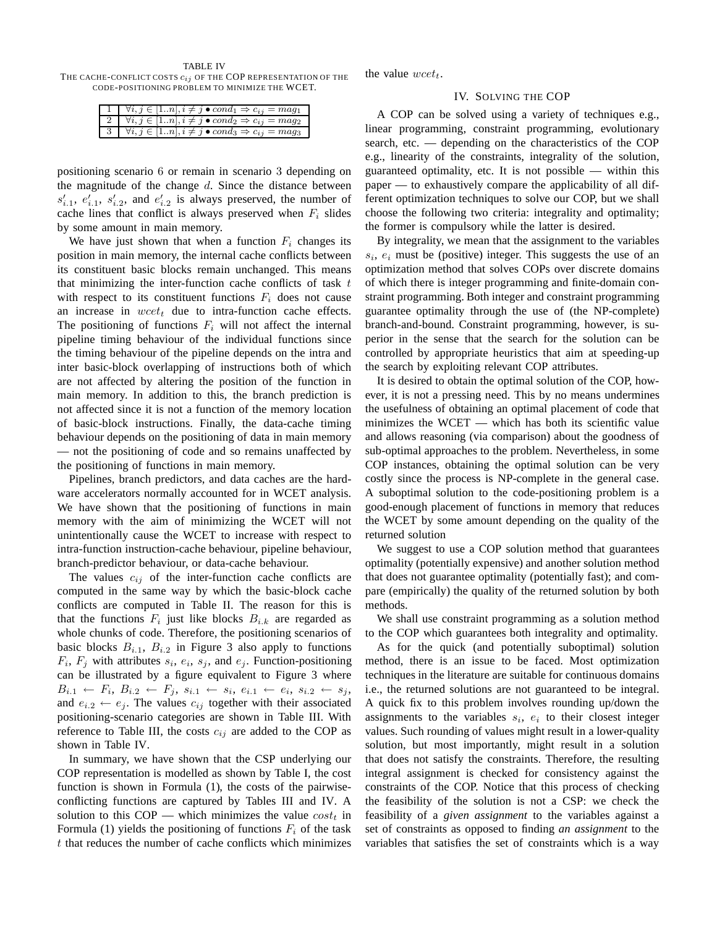TABLE IV THE CACHE-CONFLICT COSTS  $c_{ij}$  OF THE COP REPRESENTATION OF THE CODE-POSITIONING PROBLEM TO MINIMIZE THE WCET.

| $\vert 1 \vert \forall i, j \in [1n], i \neq j \bullet cond_1 \Rightarrow c_{ij} = mag_1$ |
|-------------------------------------------------------------------------------------------|
| $\mid 2 \mid \forall i, j \in [1n], i \neq j \bullet cond_2 \Rightarrow c_{ij} = mag_2$   |
| $3 \mid \forall i, j \in [1n], i \neq j \bullet cond_3 \Rightarrow c_{ij} = mag_3$        |

positioning scenario 6 or remain in scenario 3 depending on the magnitude of the change  $d$ . Since the distance between  $s'_{i,1}$ ,  $e'_{i,1}$ ,  $s'_{i,2}$ , and  $e'_{i,2}$  is always preserved, the number of cache lines that conflict is always preserved when  $F_i$  slides by some amount in main memory.

We have just shown that when a function  $F_i$  changes its position in main memory, the internal cache conflicts between its constituent basic blocks remain unchanged. This means that minimizing the inter-function cache conflicts of task  $t$ with respect to its constituent functions  $F_i$  does not cause an increase in  $wcet_t$  due to intra-function cache effects. The positioning of functions  $F_i$  will not affect the internal pipeline timing behaviour of the individual functions since the timing behaviour of the pipeline depends on the intra and inter basic-block overlapping of instructions both of which are not affected by altering the position of the function in main memory. In addition to this, the branch prediction is not affected since it is not a function of the memory location of basic-block instructions. Finally, the data-cache timing behaviour depends on the positioning of data in main memory — not the positioning of code and so remains unaffected by the positioning of functions in main memory.

Pipelines, branch predictors, and data caches are the hardware accelerators normally accounted for in WCET analysis. We have shown that the positioning of functions in main memory with the aim of minimizing the WCET will not unintentionally cause the WCET to increase with respect to intra-function instruction-cache behaviour, pipeline behaviour, branch-predictor behaviour, or data-cache behaviour.

The values  $c_{ij}$  of the inter-function cache conflicts are computed in the same way by which the basic-block cache conflicts are computed in Table II. The reason for this is that the functions  $F_i$  just like blocks  $B_{i,k}$  are regarded as whole chunks of code. Therefore, the positioning scenarios of basic blocks  $B_{i,1}$ ,  $B_{i,2}$  in Figure 3 also apply to functions  $F_i$ ,  $F_j$  with attributes  $s_i$ ,  $e_i$ ,  $s_j$ , and  $e_j$ . Function-positioning can be illustrated by a figure equivalent to Figure 3 where  $B_{i.1} \leftarrow F_i, B_{i.2} \leftarrow F_j, s_{i.1} \leftarrow s_i, e_{i.1} \leftarrow e_i, s_{i.2} \leftarrow s_j,$ and  $e_{i,2} \leftarrow e_j$ . The values  $c_{ij}$  together with their associated positioning-scenario categories are shown in Table III. With reference to Table III, the costs  $c_{ij}$  are added to the COP as shown in Table IV.

In summary, we have shown that the CSP underlying our COP representation is modelled as shown by Table I, the cost function is shown in Formula (1), the costs of the pairwiseconflicting functions are captured by Tables III and IV. A solution to this COP — which minimizes the value  $cost_t$  in Formula (1) yields the positioning of functions  $F_i$  of the task t that reduces the number of cache conflicts which minimizes the value  $wct_t$ .

## IV. SOLVING THE COP

A COP can be solved using a variety of techniques e.g., linear programming, constraint programming, evolutionary search, etc. — depending on the characteristics of the COP e.g., linearity of the constraints, integrality of the solution, guaranteed optimality, etc. It is not possible — within this paper — to exhaustively compare the applicability of all different optimization techniques to solve our COP, but we shall choose the following two criteria: integrality and optimality; the former is compulsory while the latter is desired.

By integrality, we mean that the assignment to the variables  $s_i$ ,  $e_i$  must be (positive) integer. This suggests the use of an optimization method that solves COPs over discrete domains of which there is integer programming and finite-domain constraint programming. Both integer and constraint programming guarantee optimality through the use of (the NP-complete) branch-and-bound. Constraint programming, however, is superior in the sense that the search for the solution can be controlled by appropriate heuristics that aim at speeding-up the search by exploiting relevant COP attributes.

It is desired to obtain the optimal solution of the COP, however, it is not a pressing need. This by no means undermines the usefulness of obtaining an optimal placement of code that minimizes the WCET — which has both its scientific value and allows reasoning (via comparison) about the goodness of sub-optimal approaches to the problem. Nevertheless, in some COP instances, obtaining the optimal solution can be very costly since the process is NP-complete in the general case. A suboptimal solution to the code-positioning problem is a good-enough placement of functions in memory that reduces the WCET by some amount depending on the quality of the returned solution

We suggest to use a COP solution method that guarantees optimality (potentially expensive) and another solution method that does not guarantee optimality (potentially fast); and compare (empirically) the quality of the returned solution by both methods.

We shall use constraint programming as a solution method to the COP which guarantees both integrality and optimality.

As for the quick (and potentially suboptimal) solution method, there is an issue to be faced. Most optimization techniques in the literature are suitable for continuous domains i.e., the returned solutions are not guaranteed to be integral. A quick fix to this problem involves rounding up/down the assignments to the variables  $s_i$ ,  $e_i$  to their closest integer values. Such rounding of values might result in a lower-quality solution, but most importantly, might result in a solution that does not satisfy the constraints. Therefore, the resulting integral assignment is checked for consistency against the constraints of the COP. Notice that this process of checking the feasibility of the solution is not a CSP: we check the feasibility of a *given assignment* to the variables against a set of constraints as opposed to finding *an assignment* to the variables that satisfies the set of constraints which is a way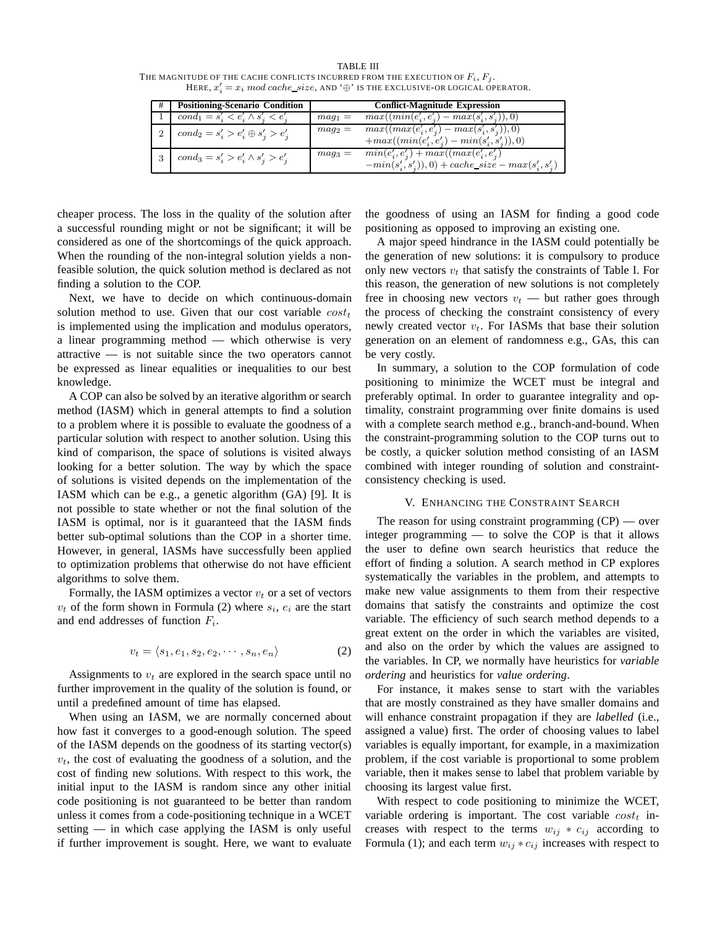TABLE III THE MAGNITUDE OF THE CACHE CONFLICTS INCURRED FROM THE EXECUTION OF  $F_i$ ,  $F_j$ . HERE,  $x'_i = x_i \mod cache\_size$ , AND '⊕' IS THE EXCLUSIVE-OR LOGICAL OPERATOR.

|                | <b>Positioning-Scenario Condition</b>     | <b>Conflict-Magnitude Expression</b>                                                                                        |
|----------------|-------------------------------------------|-----------------------------------------------------------------------------------------------------------------------------|
|                | $cond_1 = s'_i < e'_i \wedge s'_i < e'_i$ | $max((min(e'_i, e'_i) - max(s'_i, s'_i)), 0)$<br>$mag_1 =$                                                                  |
| $\overline{2}$ | $cond_2 = s'_i > e'_i \oplus s'_j > e'_i$ | $max((max(e'_i, e'_i) - max(s'_i, s'_i)), 0)$<br>$mag_2 =$<br>$+ max((min(e'_i, e'_i) - min(s'_i, s'_i)), 0)$               |
| 3              | $cond_3 = s'_i > e'_i \wedge s'_j > e'_j$ | $\overline{min(e'_i, e'_j)} + max((max(e'_i, e'_j))$<br>$mag_3 =$<br>$-min(s'_i, s'_j), 0) + cache\_size - max(s'_i, s'_i)$ |

cheaper process. The loss in the quality of the solution after a successful rounding might or not be significant; it will be considered as one of the shortcomings of the quick approach. When the rounding of the non-integral solution yields a nonfeasible solution, the quick solution method is declared as not finding a solution to the COP.

Next, we have to decide on which continuous-domain solution method to use. Given that our cost variable  $cost_t$ is implemented using the implication and modulus operators, a linear programming method — which otherwise is very attractive — is not suitable since the two operators cannot be expressed as linear equalities or inequalities to our best knowledge.

A COP can also be solved by an iterative algorithm or search method (IASM) which in general attempts to find a solution to a problem where it is possible to evaluate the goodness of a particular solution with respect to another solution. Using this kind of comparison, the space of solutions is visited always looking for a better solution. The way by which the space of solutions is visited depends on the implementation of the IASM which can be e.g., a genetic algorithm (GA) [9]. It is not possible to state whether or not the final solution of the IASM is optimal, nor is it guaranteed that the IASM finds better sub-optimal solutions than the COP in a shorter time. However, in general, IASMs have successfully been applied to optimization problems that otherwise do not have efficient algorithms to solve them.

Formally, the IASM optimizes a vector  $v_t$  or a set of vectors  $v_t$  of the form shown in Formula (2) where  $s_i$ ,  $e_i$  are the start and end addresses of function  $F_i$ .

$$
v_t = \langle s_1, e_1, s_2, e_2, \cdots, s_n, e_n \rangle \tag{2}
$$

Assignments to  $v_t$  are explored in the search space until no further improvement in the quality of the solution is found, or until a predefined amount of time has elapsed.

When using an IASM, we are normally concerned about how fast it converges to a good-enough solution. The speed of the IASM depends on the goodness of its starting vector(s)  $v_t$ , the cost of evaluating the goodness of a solution, and the cost of finding new solutions. With respect to this work, the initial input to the IASM is random since any other initial code positioning is not guaranteed to be better than random unless it comes from a code-positioning technique in a WCET setting — in which case applying the IASM is only useful if further improvement is sought. Here, we want to evaluate

the goodness of using an IASM for finding a good code positioning as opposed to improving an existing one.

A major speed hindrance in the IASM could potentially be the generation of new solutions: it is compulsory to produce only new vectors  $v_t$  that satisfy the constraints of Table I. For this reason, the generation of new solutions is not completely free in choosing new vectors  $v_t$  — but rather goes through the process of checking the constraint consistency of every newly created vector  $v_t$ . For IASMs that base their solution generation on an element of randomness e.g., GAs, this can be very costly.

In summary, a solution to the COP formulation of code positioning to minimize the WCET must be integral and preferably optimal. In order to guarantee integrality and optimality, constraint programming over finite domains is used with a complete search method e.g., branch-and-bound. When the constraint-programming solution to the COP turns out to be costly, a quicker solution method consisting of an IASM combined with integer rounding of solution and constraintconsistency checking is used.

#### V. ENHANCING THE CONSTRAINT SEARCH

The reason for using constraint programming  $(CP)$  — over integer programming — to solve the COP is that it allows the user to define own search heuristics that reduce the effort of finding a solution. A search method in CP explores systematically the variables in the problem, and attempts to make new value assignments to them from their respective domains that satisfy the constraints and optimize the cost variable. The efficiency of such search method depends to a great extent on the order in which the variables are visited, and also on the order by which the values are assigned to the variables. In CP, we normally have heuristics for *variable ordering* and heuristics for *value ordering*.

For instance, it makes sense to start with the variables that are mostly constrained as they have smaller domains and will enhance constraint propagation if they are *labelled* (i.e., assigned a value) first. The order of choosing values to label variables is equally important, for example, in a maximization problem, if the cost variable is proportional to some problem variable, then it makes sense to label that problem variable by choosing its largest value first.

With respect to code positioning to minimize the WCET, variable ordering is important. The cost variable  $cost_t$  increases with respect to the terms  $w_{ij} * c_{ij}$  according to Formula (1); and each term  $w_{ij} * c_{ij}$  increases with respect to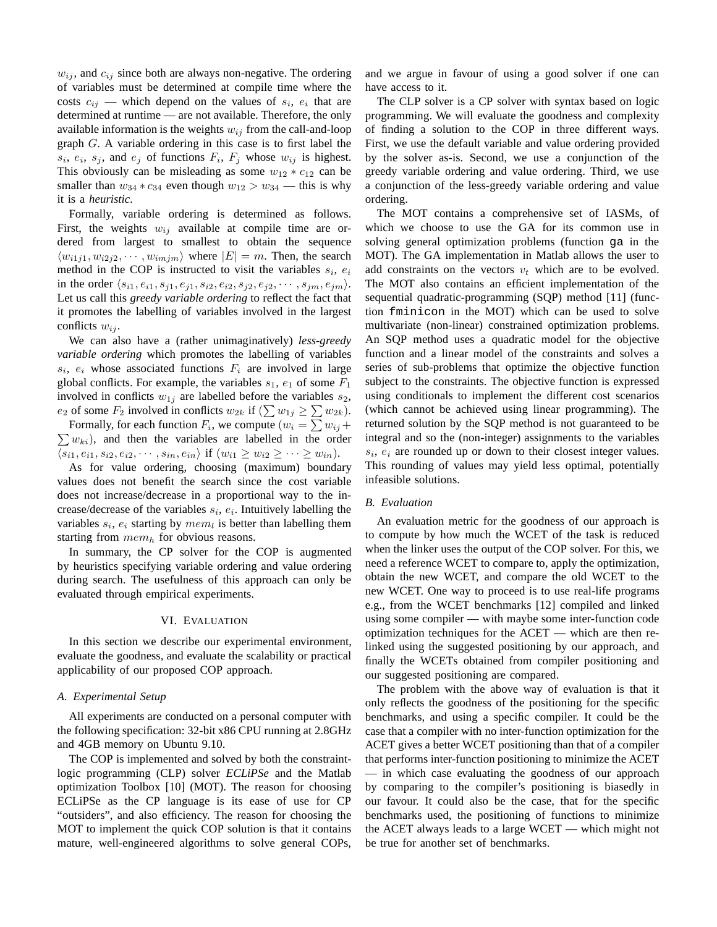$w_{ij}$ , and  $c_{ij}$  since both are always non-negative. The ordering of variables must be determined at compile time where the costs  $c_{ij}$  — which depend on the values of  $s_i$ ,  $e_i$  that are determined at runtime — are not available. Therefore, the only available information is the weights  $w_{ij}$  from the call-and-loop graph G. A variable ordering in this case is to first label the  $s_i$ ,  $e_i$ ,  $s_j$ , and  $e_j$  of functions  $F_i$ ,  $F_j$  whose  $w_{ij}$  is highest. This obviously can be misleading as some  $w_{12} * c_{12}$  can be smaller than  $w_{34} * c_{34}$  even though  $w_{12} > w_{34}$  — this is why it is a *heuristic*.

Formally, variable ordering is determined as follows. First, the weights  $w_{ij}$  available at compile time are ordered from largest to smallest to obtain the sequence  $\langle w_{i1j1}, w_{i2j2}, \cdots, w_{imjm} \rangle$  where  $|E| = m$ . Then, the search method in the COP is instructed to visit the variables  $s_i$ ,  $e_i$ in the order  $\langle s_{i1}, e_{i1}, s_{j1}, e_{j1}, s_{i2}, e_{i2}, s_{j2}, e_{j2}, \cdots, s_{jm}, e_{jm}\rangle.$ Let us call this *greedy variable ordering* to reflect the fact that it promotes the labelling of variables involved in the largest conflicts  $w_{ij}$ .

We can also have a (rather unimaginatively) *less-greedy variable ordering* which promotes the labelling of variables  $s_i$ ,  $e_i$  whose associated functions  $F_i$  are involved in large global conflicts. For example, the variables  $s_1$ ,  $e_1$  of some  $F_1$ involved in conflicts  $w_{1j}$  are labelled before the variables  $s_2$ ,  $e_2$  of some  $F_2$  involved in conflicts  $w_{2k}$  if  $(\sum w_{1j} \ge \sum w_{2k})$ . Formally, for each function  $F_i$ , we compute  $(w_i = \sum w_{ij} + \sum w_{ij})$  $\sum w_{ki}$ ), and then the variables are labelled in the order  $\langle s_{i1}, e_{i1}, s_{i2}, e_{i2}, \cdots, s_{in}, e_{in} \rangle$  if  $(w_{i1} \geq w_{i2} \geq \cdots \geq w_{in}).$ 

As for value ordering, choosing (maximum) boundary values does not benefit the search since the cost variable does not increase/decrease in a proportional way to the increase/decrease of the variables  $s_i$ ,  $e_i$ . Intuitively labelling the variables  $s_i$ ,  $e_i$  starting by  $mem_l$  is better than labelling them starting from  $mem<sub>h</sub>$  for obvious reasons.

In summary, the CP solver for the COP is augmented by heuristics specifying variable ordering and value ordering during search. The usefulness of this approach can only be evaluated through empirical experiments.

#### VI. EVALUATION

In this section we describe our experimental environment, evaluate the goodness, and evaluate the scalability or practical applicability of our proposed COP approach.

#### *A. Experimental Setup*

All experiments are conducted on a personal computer with the following specification: 32-bit x86 CPU running at 2.8GHz and 4GB memory on Ubuntu 9.10.

The COP is implemented and solved by both the constraintlogic programming (CLP) solver *ECLiPSe* and the Matlab optimization Toolbox [10] (MOT). The reason for choosing ECLiPSe as the CP language is its ease of use for CP "outsiders", and also efficiency. The reason for choosing the MOT to implement the quick COP solution is that it contains mature, well-engineered algorithms to solve general COPs,

and we argue in favour of using a good solver if one can have access to it.

The CLP solver is a CP solver with syntax based on logic programming. We will evaluate the goodness and complexity of finding a solution to the COP in three different ways. First, we use the default variable and value ordering provided by the solver as-is. Second, we use a conjunction of the greedy variable ordering and value ordering. Third, we use a conjunction of the less-greedy variable ordering and value ordering.

The MOT contains a comprehensive set of IASMs, of which we choose to use the GA for its common use in solving general optimization problems (function ga in the MOT). The GA implementation in Matlab allows the user to add constraints on the vectors  $v_t$  which are to be evolved. The MOT also contains an efficient implementation of the sequential quadratic-programming (SQP) method [11] (function fminicon in the MOT) which can be used to solve multivariate (non-linear) constrained optimization problems. An SQP method uses a quadratic model for the objective function and a linear model of the constraints and solves a series of sub-problems that optimize the objective function subject to the constraints. The objective function is expressed using conditionals to implement the different cost scenarios (which cannot be achieved using linear programming). The returned solution by the SQP method is not guaranteed to be integral and so the (non-integer) assignments to the variables  $s_i$ ,  $e_i$  are rounded up or down to their closest integer values. This rounding of values may yield less optimal, potentially infeasible solutions.

#### *B. Evaluation*

An evaluation metric for the goodness of our approach is to compute by how much the WCET of the task is reduced when the linker uses the output of the COP solver. For this, we need a reference WCET to compare to, apply the optimization, obtain the new WCET, and compare the old WCET to the new WCET. One way to proceed is to use real-life programs e.g., from the WCET benchmarks [12] compiled and linked using some compiler — with maybe some inter-function code optimization techniques for the ACET — which are then relinked using the suggested positioning by our approach, and finally the WCETs obtained from compiler positioning and our suggested positioning are compared.

The problem with the above way of evaluation is that it only reflects the goodness of the positioning for the specific benchmarks, and using a specific compiler. It could be the case that a compiler with no inter-function optimization for the ACET gives a better WCET positioning than that of a compiler that performs inter-function positioning to minimize the ACET — in which case evaluating the goodness of our approach by comparing to the compiler's positioning is biasedly in our favour. It could also be the case, that for the specific benchmarks used, the positioning of functions to minimize the ACET always leads to a large WCET — which might not be true for another set of benchmarks.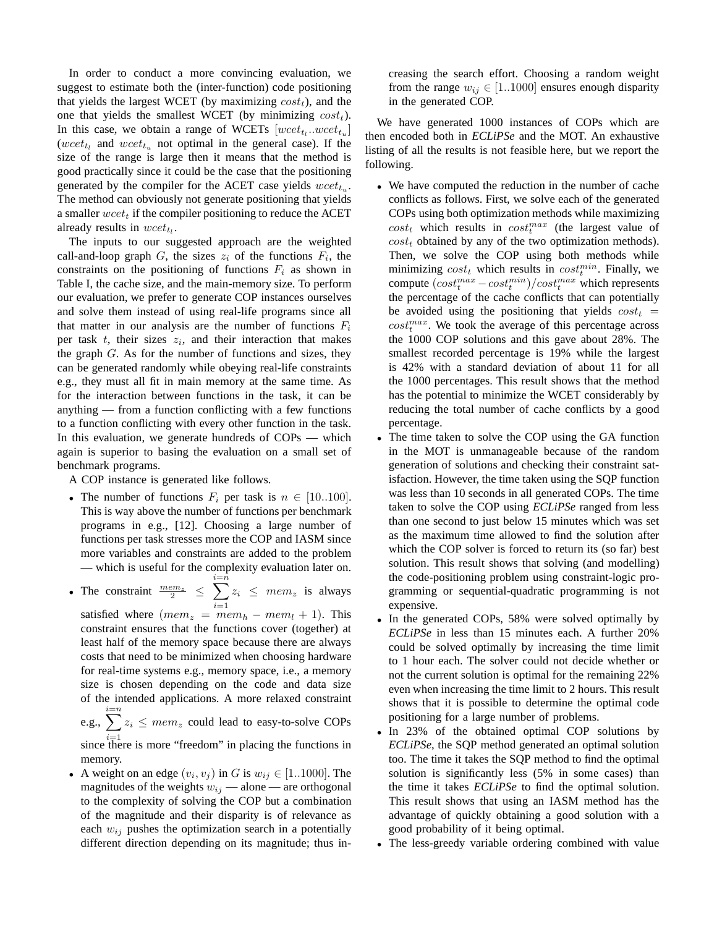In order to conduct a more convincing evaluation, we suggest to estimate both the (inter-function) code positioning that yields the largest WCET (by maximizing  $cost<sub>t</sub>$ ), and the one that yields the smallest WCET (by minimizing  $cost_t$ ). In this case, we obtain a range of WCETs  $[weet_{t_l}...weet_{t_u}]$ (wcet<sub>t<sub>l</sub></sub> and wcet<sub>t<sub>u</sub></sub> not optimal in the general case). If the size of the range is large then it means that the method is good practically since it could be the case that the positioning generated by the compiler for the ACET case yields  $\text{wc}et_{t_u}$ . The method can obviously not generate positioning that yields a smaller  $wcet_t$  if the compiler positioning to reduce the ACET already results in  $wct_{t_l}$ .

The inputs to our suggested approach are the weighted call-and-loop graph  $G$ , the sizes  $z_i$  of the functions  $F_i$ , the constraints on the positioning of functions  $F_i$  as shown in Table I, the cache size, and the main-memory size. To perform our evaluation, we prefer to generate COP instances ourselves and solve them instead of using real-life programs since all that matter in our analysis are the number of functions  $F_i$ per task  $t$ , their sizes  $z_i$ , and their interaction that makes the graph  $G$ . As for the number of functions and sizes, they can be generated randomly while obeying real-life constraints e.g., they must all fit in main memory at the same time. As for the interaction between functions in the task, it can be anything — from a function conflicting with a few functions to a function conflicting with every other function in the task. In this evaluation, we generate hundreds of COPs — which again is superior to basing the evaluation on a small set of benchmark programs.

A COP instance is generated like follows.

- The number of functions  $F_i$  per task is  $n \in [10..100]$ . This is way above the number of functions per benchmark programs in e.g., [12]. Choosing a large number of functions per task stresses more the COP and IASM since more variables and constraints are added to the problem — which is useful for the complexity evaluation later on.  $i = n$
- The constraint  $\frac{mem_z}{2} \leq \sum$  $i=1$  $z_i \leq mem_z$  is always satisfied where  $(mem_z = mem_h - mem_l + 1)$ . This constraint ensures that the functions cover (together) at least half of the memory space because there are always costs that need to be minimized when choosing hardware for real-time systems e.g., memory space, i.e., a memory size is chosen depending on the code and data size of the intended applications. A more relaxed constraint e.g.,  $\sum$  $i = n$ since there is more "freedom" in placing the functions in  $z_i \leq mem_z$  could lead to easy-to-solve COPs

memory.

• A weight on an edge  $(v_i, v_j)$  in G is  $w_{ij} \in [1..1000]$ . The magnitudes of the weights  $w_{ij}$  — alone — are orthogonal to the complexity of solving the COP but a combination of the magnitude and their disparity is of relevance as each  $w_{ij}$  pushes the optimization search in a potentially different direction depending on its magnitude; thus in-

creasing the search effort. Choosing a random weight from the range  $w_{ij} \in [1..1000]$  ensures enough disparity in the generated COP.

We have generated 1000 instances of COPs which are then encoded both in *ECLiPSe* and the MOT. An exhaustive listing of all the results is not feasible here, but we report the following.

- We have computed the reduction in the number of cache conflicts as follows. First, we solve each of the generated COPs using both optimization methods while maximizing  $cost_t$  which results in  $cost_t^{max}$  (the largest value of  $cost_t$  obtained by any of the two optimization methods). Then, we solve the COP using both methods while minimizing  $cost_t$  which results in  $cost_t^{min}$ . Finally, we compute  $(cost^{max}_t - cost^{min}_t)/cost^{max}_t$  which represents the percentage of the cache conflicts that can potentially be avoided using the positioning that yields  $cost_t =$  $cost_t^{max}$ . We took the average of this percentage across the 1000 COP solutions and this gave about 28%. The smallest recorded percentage is 19% while the largest is 42% with a standard deviation of about 11 for all the 1000 percentages. This result shows that the method has the potential to minimize the WCET considerably by reducing the total number of cache conflicts by a good percentage.
- The time taken to solve the COP using the GA function in the MOT is unmanageable because of the random generation of solutions and checking their constraint satisfaction. However, the time taken using the SQP function was less than 10 seconds in all generated COPs. The time taken to solve the COP using *ECLiPSe* ranged from less than one second to just below 15 minutes which was set as the maximum time allowed to find the solution after which the COP solver is forced to return its (so far) best solution. This result shows that solving (and modelling) the code-positioning problem using constraint-logic programming or sequential-quadratic programming is not expensive.
- In the generated COPs, 58% were solved optimally by *ECLiPSe* in less than 15 minutes each. A further 20% could be solved optimally by increasing the time limit to 1 hour each. The solver could not decide whether or not the current solution is optimal for the remaining 22% even when increasing the time limit to 2 hours. This result shows that it is possible to determine the optimal code positioning for a large number of problems.
- In 23% of the obtained optimal COP solutions by *ECLiPSe*, the SQP method generated an optimal solution too. The time it takes the SQP method to find the optimal solution is significantly less (5% in some cases) than the time it takes *ECLiPSe* to find the optimal solution. This result shows that using an IASM method has the advantage of quickly obtaining a good solution with a good probability of it being optimal.
- The less-greedy variable ordering combined with value